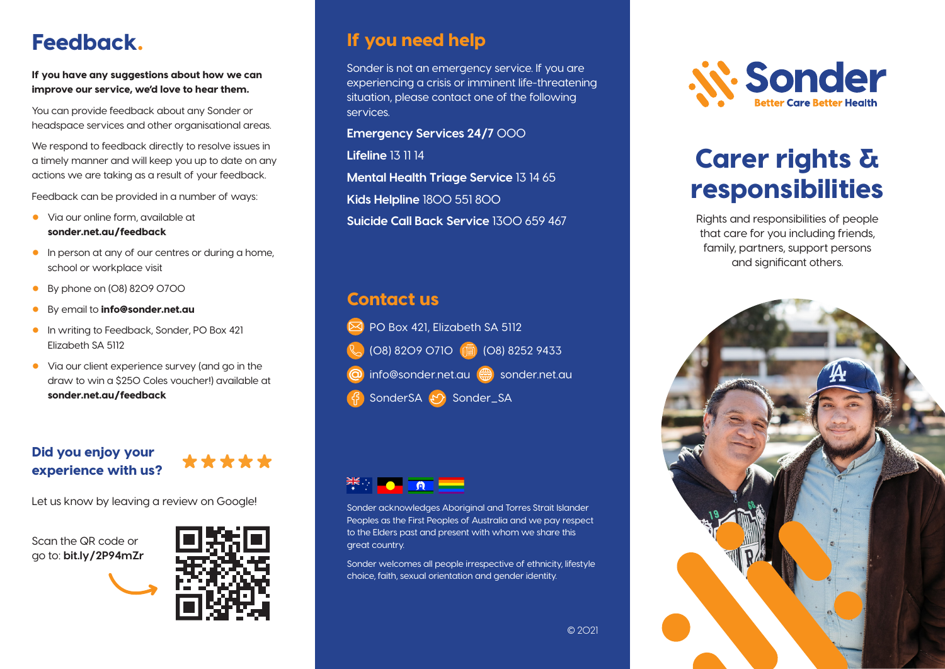## Feedback.

If you have any suggestions about how we can improve our service, we'd love to hear them.

You can provide feedback about any Sonder or headspace services and other organisational areas.

We respond to feedback directly to resolve issues in a timely manner and will keep you up to date on any actions we are taking as a result of your feedback.

Feedback can be provided in a number of ways:

- Via our online form, available at sonder.net.au/feedback
- In person at any of our centres or during a home, school or workplace visit
- By phone on (08) 8209 0700
- By email to **info@sonder.net.au**
- In writing to Feedback, Sonder, PO Box 421 Elizabeth SA 5112
- Via our client experience survey (and go in the draw to win a \$250 Coles voucher!) available at sonder.net.au/feedback

#### Did you enjoy your experience with us?



Let us know by leaving a review on Google!

Scan the QR code or go to: **bit.ly/2P94mZr**



#### If you need help

Sonder is not an emergency service. If you are experiencing a crisis or imminent life-threatening situation, please contact one of the following services.

**Emergency Services 24/7** 000

**Lifeline** 13 11 14

**Mental Health Triage Service** 13 14 65

**Kids Helpline** 1800 551 800

**Suicide Call Back Service** 1300 659 467

#### Contact us





Sonder acknowledges Aboriginal and Torres Strait Islander Peoples as the First Peoples of Australia and we pay respect to the Elders past and present with whom we share this great country.

Sonder welcomes all people irrespective of ethnicity, lifestyle choice, faith, sexual orientation and gender identity.



# Carer rights & responsibilities

Rights and responsibilities of people that care for you including friends, family, partners, support persons and significant others.